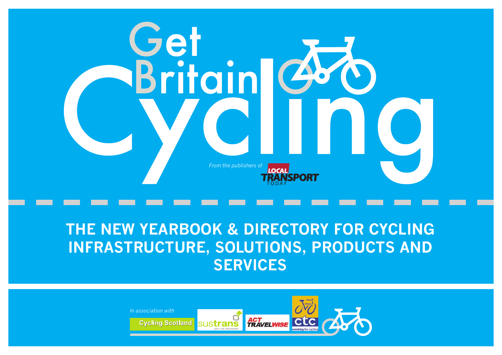

# **THE NEW YEARBOOK & DIRECTORY FOR CYCLING INFRASTRUCTURE, SOLUTIONS, PRODUCTS AND SERVICES**